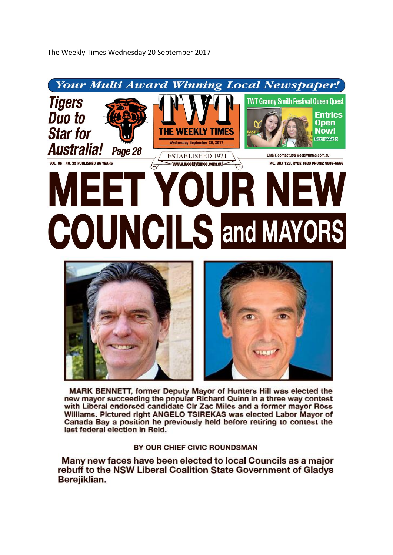

MARK BENNETT, former Deputy Mayor of Hunters Hill was elected the new mayor succeeding the popular Richard Quinn in a three way contest with Liberal endorsed candidate CIr Zac Miles and a former mayor Ross Williams. Pictured right ANGELO TSIREKAS was elected Labor Mayor of Canada Bay a position he previously held before retiring to contest the last federal election in Reid.

BY OUR CHIEF CIVIC ROUNDSMAN

Many new faces have been elected to local Councils as a major rebuff to the NSW Liberal Coalition State Government of Gladys Berejiklian.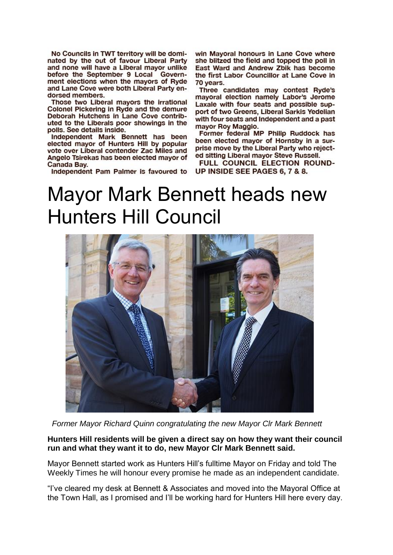No Councils in TWT territory will be dominated by the out of favour Liberal Party and none will have a Liberal mayor unlike before the September 9 Local Government elections when the mayors of Ryde and Lane Cove were both Liberal Party endorsed members.

Those two Liberal mayors the irrational Colonel Pickering in Ryde and the demure Deborah Hutchens in Lane Cove contributed to the Liberals poor showings in the polls. See details inside.

Independent Mark Bennett has been<br>elected mayor of Hunters Hill by popular vote over Liberal contender Zac Miles and Angelo Tsirekas has been elected mayor of Canada Bay.

Independent Pam Palmer is favoured to

win Mayoral honours in Lane Cove where she blitzed the field and topped the poll in East Ward and Andrew Zbik has become the first Labor Councillor at Lane Cove in 70 years.

Three candidates may contest Ryde's mayoral election namely Labor's Jerome Laxale with four seats and possible support of two Greens, Liberal Sarkis Yedelian with four seats and Independent and a past mayor Roy Maggio.

Former federal MP Philip Ruddock has been elected mayor of Hornsby in a surprise move by the Liberal Party who rejected sitting Liberal mayor Steve Russell.

FULL COUNCIL ELECTION ROUND-UP INSIDE SEE PAGES 6, 7 & 8.

#### Mayor Mark Bennett heads new Hunters Hill Council



 *Former Mayor Richard Quinn congratulating the new Mayor Clr Mark Bennett*

#### **Hunters Hill residents will be given a direct say on how they want their council run and what they want it to do, new Mayor Clr Mark Bennett said.**

Mayor Bennett started work as Hunters Hill's fulltime Mayor on Friday and told The Weekly Times he will honour every promise he made as an independent candidate.

"I've cleared my desk at Bennett & Associates and moved into the Mayoral Office at the Town Hall, as I promised and I'll be working hard for Hunters Hill here every day.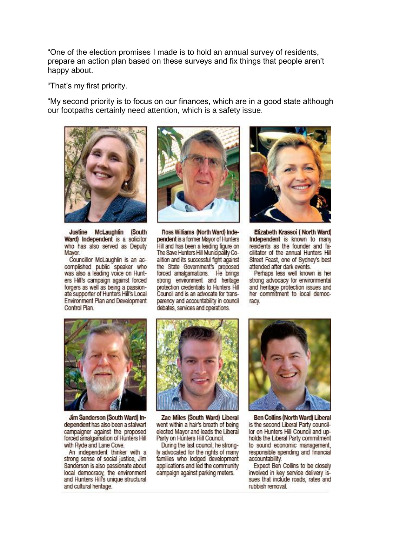"One of the election promises I made is to hold an annual survey of residents, prepare an action plan based on these surveys and fix things that people aren't happy about.

"That's my first priority.

"My second priority is to focus on our finances, which are in a good state although our footpaths certainly need attention, which is a safety issue.



Justine McLaughlin (South Ward) Independent is a solicitor who has also served as Deputy Mayor.

Councillor McLaughlin is an accomplished public speaker who was also a leading voice on Hunters Hill's campaign against forced forgers as well as being a passionate supporter of Hunters Hill's Local Environment Plan and Development Control Plan



Ross Williams (North Ward) Independent is a former Mayor of Hunters Hill and has been a leading figure on The Save Hunters Hill Municipality Coalition and its successful fight against the State Government's proposed forced amalgamations. He brings strong environment and heritage protection credentials to Hunters Hill Council and is an advocate for transparency and accountability in council debates, services and operations.



Elizabeth Krassoi (North Ward) Independent is known to many residents as the founder and facilitator of the annual Hunters Hill Street Feast, one of Sydney's best attended after dark events.

Perhaps less well known is her strong advocacy for environmental and heritage protection issues and her commitment to local democracy.



Jim Sanderson (South Ward) Independent has also been a stalwart campaigner against the proposed forced amalgamation of Hunters Hill with Ryde and Lane Cove.

An independent thinker with a strong sense of social justice, Jim Sanderson is also passionate about local democracy, the environment<br>and Hunters Hill's unique structural and cultural heritage.



Zac Miles (South Ward) Liberal went within a hair's breath of being elected Mayor and leads the Liberal Party on Hunters Hill Council.

During the last council, he strongly advocated for the rights of many families who lodged development applications and led the community campaign against parking meters.



Ben Collins (North Ward) Liberal is the second Liberal Party councillor on Hunters Hill Council and upholds the Liberal Party commitment to sound economic management, responsible spending and financial accountability.

Expect Ben Collins to be closely involved in key service delivery issues that include roads, rates and rubbish removal.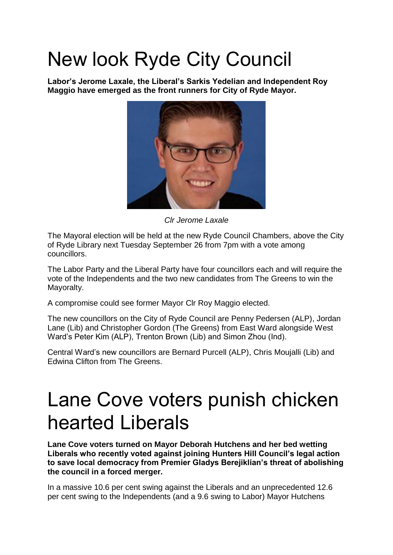# New look Ryde City Council

**Labor's Jerome Laxale, the Liberal's Sarkis Yedelian and Independent Roy Maggio have emerged as the front runners for City of Ryde Mayor.**



*Clr Jerome Laxale*

The Mayoral election will be held at the new Ryde Council Chambers, above the City of Ryde Library next Tuesday September 26 from 7pm with a vote among councillors.

The Labor Party and the Liberal Party have four councillors each and will require the vote of the Independents and the two new candidates from The Greens to win the Mayoralty.

A compromise could see former Mayor Clr Roy Maggio elected.

The new councillors on the City of Ryde Council are Penny Pedersen (ALP), Jordan Lane (Lib) and Christopher Gordon (The Greens) from East Ward alongside West Ward's Peter Kim (ALP), Trenton Brown (Lib) and Simon Zhou (Ind).

Central Ward's new councillors are Bernard Purcell (ALP), Chris Moujalli (Lib) and Edwina Clifton from The Greens.

### Lane Cove voters punish chicken hearted Liberals

**Lane Cove voters turned on Mayor Deborah Hutchens and her bed wetting Liberals who recently voted against joining Hunters Hill Council's legal action to save local democracy from Premier Gladys Berejiklian's threat of abolishing the council in a forced merger.**

In a massive 10.6 per cent swing against the Liberals and an unprecedented 12.6 per cent swing to the Independents (and a 9.6 swing to Labor) Mayor Hutchens